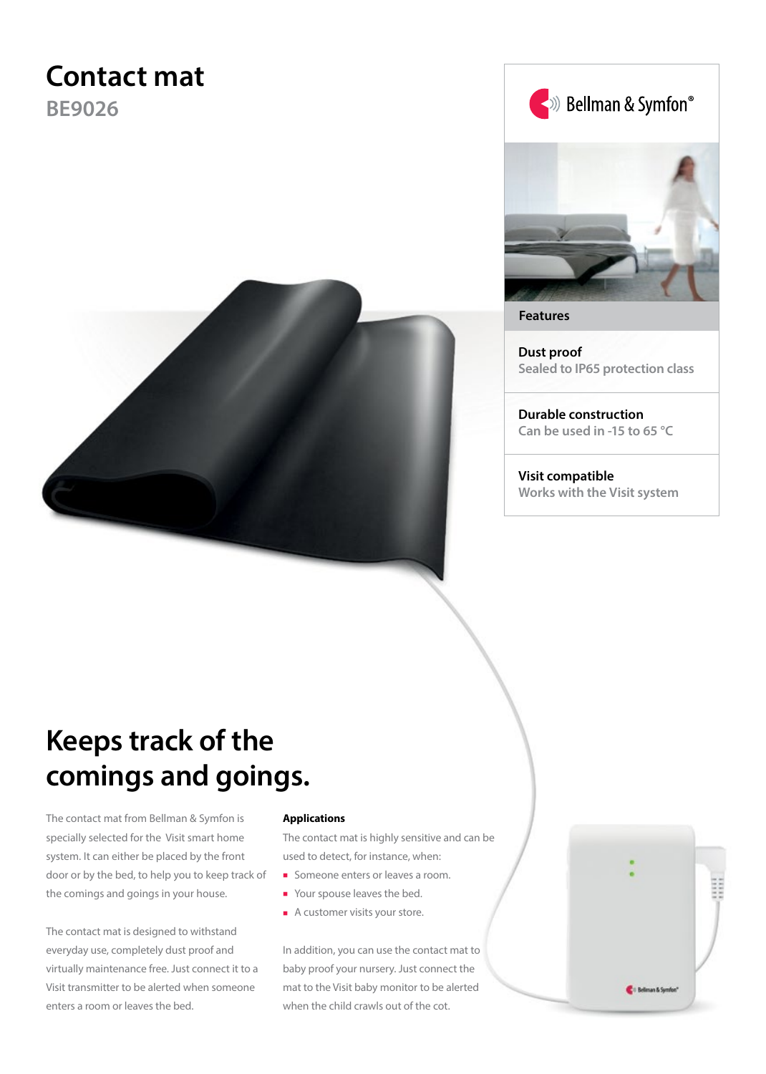# **Contact mat**

**BE9026**







**Features**

**Dust proof Sealed to IP65 protection class**

**Durable construction Can be used in -15 to 65 °C**

**Visit compatible Works with the Visit system**

# **Keeps track of the comings and goings.**

The contact mat from Bellman & Symfon is specially selected for the Visit smart home system. It can either be placed by the front door or by the bed, to help you to keep track of the comings and goings in your house.

The contact mat is designed to withstand everyday use, completely dust proof and virtually maintenance free. Just connect it to a Visit transmitter to be alerted when someone enters a room or leaves the bed.

#### **Applications**

The contact mat is highly sensitive and can be used to detect, for instance, when:

- Someone enters or leaves a room.
- Your spouse leaves the bed.
- A customer visits your store.

In addition, you can use the contact mat to baby proof your nursery. Just connect the mat to the Visit baby monitor to be alerted when the child crawls out of the cot.